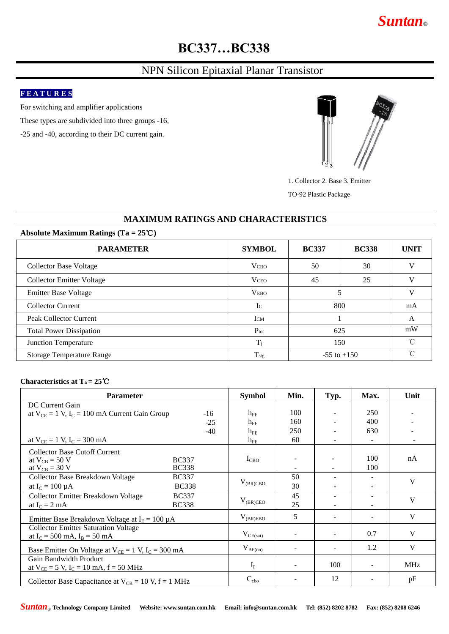# *Suntan***®**

# **BC337…BC338**

## NPN Silicon Epitaxial Planar Transistor

## **F E A T U R E S**

For switching and amplifier applications

These types are subdivided into three groups -16,

-25 and -40, according to their DC current gain.



1. Collector 2. Base 3. Emitter

TO-92 Plastic Package

### **MAXIMUM RATINGS AND CHARACTERISTICS**

#### **Absolute Maximum Ratings (Ta = 25**℃**)**

| <b>PARAMETER</b>                 | <b>SYMBOL</b>    | <b>BC337</b>    | <b>BC338</b> | <b>UNIT</b> |
|----------------------------------|------------------|-----------------|--------------|-------------|
| Collector Base Voltage           | <b>V</b> CBO     | 50              | 30           |             |
| <b>Collector Emitter Voltage</b> | <b>V</b> CEO     | 45              | 25           |             |
| <b>Emitter Base Voltage</b>      | <b>VEBO</b>      |                 |              |             |
| <b>Collector Current</b>         | $\mathbf{I}$ C   | 800             |              | mA          |
| <b>Peak Collector Current</b>    | <b>I</b> CM      |                 |              | A           |
| <b>Total Power Dissipation</b>   | $P_{\text{tot}}$ | 625             |              | mW          |
| <b>Junction Temperature</b>      | Ti               | 150             |              | $^{\circ}$  |
| <b>Storage Temperature Range</b> | $T_{\rm{stg}}$   | $-55$ to $+150$ | $\sim$       |             |

#### **Characteristics at Ta = 25**℃

| <b>Parameter</b>                                            |       | <b>Symbol</b>   | Min.                     | Typ.                     | Max.                     | Unit       |
|-------------------------------------------------------------|-------|-----------------|--------------------------|--------------------------|--------------------------|------------|
| DC Current Gain                                             |       |                 |                          |                          |                          |            |
| at $V_{CF} = 1 V$ , $I_C = 100$ mA Current Gain Group       | $-16$ | $h_{FE}$        | 100                      |                          | 250                      |            |
|                                                             | $-25$ | $h_{\text{FF}}$ | 160                      |                          | 400                      |            |
|                                                             | $-40$ | $h_{FE}$        | 250                      |                          | 630                      |            |
| at $V_{CE} = 1$ V, $I_C = 300$ mA                           |       | $h_{FE}$        | 60                       |                          |                          |            |
| <b>Collector Base Cutoff Current</b>                        |       |                 |                          |                          |                          |            |
| at $V_{CB} = 50$ V<br><b>BC337</b>                          |       | $I_{CBO}$       |                          |                          | 100                      | nA         |
| at $V_{CB} = 30 V$<br><b>BC338</b>                          |       |                 |                          |                          | 100                      |            |
| Collector Base Breakdown Voltage<br><b>BC337</b>            |       |                 | 50                       | -                        |                          | V          |
| <b>BC338</b><br>at $I_C = 100 \mu A$                        |       | $V_{(BR)CBO}$   | 30                       |                          |                          |            |
| Collector Emitter Breakdown Voltage<br><b>BC337</b>         |       |                 | 45                       | $\overline{\phantom{a}}$ |                          |            |
| <b>BC338</b><br>at $I_C = 2$ mA                             |       | $V_{(BR)CEO}$   | 25                       |                          |                          | V          |
| Emitter Base Breakdown Voltage at $IE = 100 \mu A$          |       | $V_{(BR)EBO}$   | 5                        | $\sim$                   | $\overline{\phantom{a}}$ | V          |
| <b>Collector Emitter Saturation Voltage</b>                 |       |                 |                          |                          |                          |            |
| at $I_C = 500$ mA, $I_B = 50$ mA                            |       | $V_{CE(sat)}$   | $\overline{\phantom{0}}$ | $\sim$                   | 0.7                      | V          |
| Base Emitter On Voltage at $V_{CE} = 1$ V, $I_C = 300$ mA   |       | $V_{BE(on)}$    |                          |                          | 1.2                      | V          |
| Gain Bandwidth Product                                      |       | $f_T$           | $\overline{\phantom{a}}$ | 100                      | $\overline{\phantom{a}}$ | <b>MHz</b> |
| at $V_{CE} = 5 V$ , $I_C = 10 mA$ , $f = 50 MHz$            |       |                 |                          |                          |                          |            |
| Collector Base Capacitance at $V_{CB} = 10 V$ , $f = 1 MHz$ |       | $C_{cbo}$       |                          | 12                       |                          | pF         |